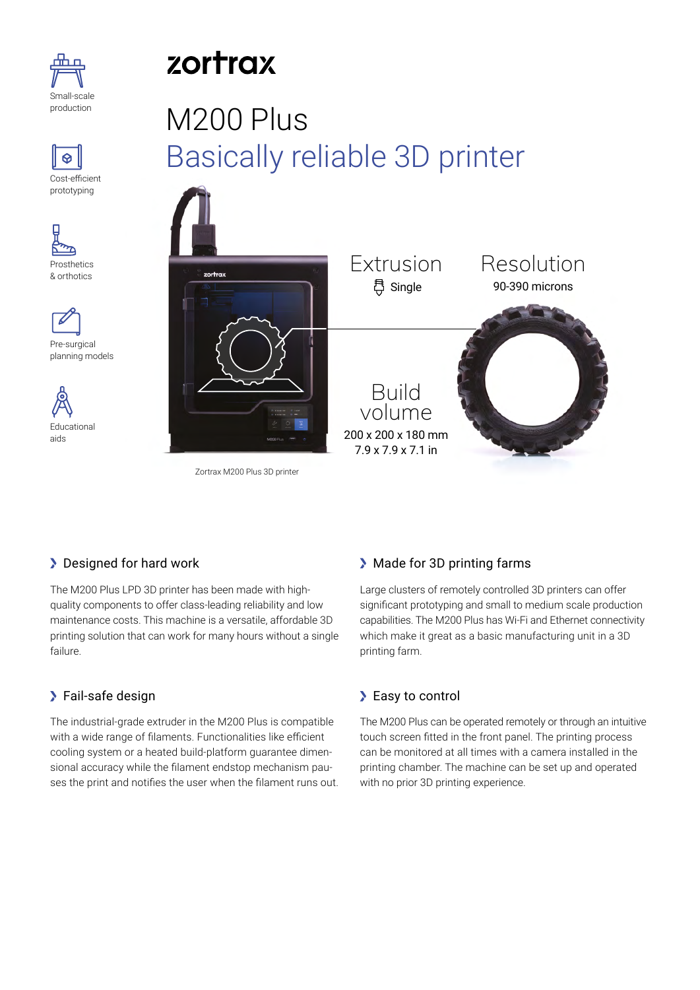









# zortrax

# M200 Plus Basically reliable 3D printer



Zortrax M200 Plus 3D printer

## **Designed for hard work**

The M200 Plus LPD 3D printer has been made with highquality components to offer class-leading reliability and low maintenance costs. This machine is a versatile, affordable 3D printing solution that can work for many hours without a single failure.

## Fail-safe design

The industrial-grade extruder in the M200 Plus is compatible with a wide range of filaments. Functionalities like efficient cooling system or a heated build-platform guarantee dimensional accuracy while the filament endstop mechanism pauses the print and notifies the user when the filament runs out.

### Made for 3D printing farms

Large clusters of remotely controlled 3D printers can offer significant prototyping and small to medium scale production capabilities. The M200 Plus has Wi-Fi and Ethernet connectivity which make it great as a basic manufacturing unit in a 3D printing farm.

## > Easy to control

The M200 Plus can be operated remotely or through an intuitive touch screen fitted in the front panel. The printing process can be monitored at all times with a camera installed in the printing chamber. The machine can be set up and operated with no prior 3D printing experience.